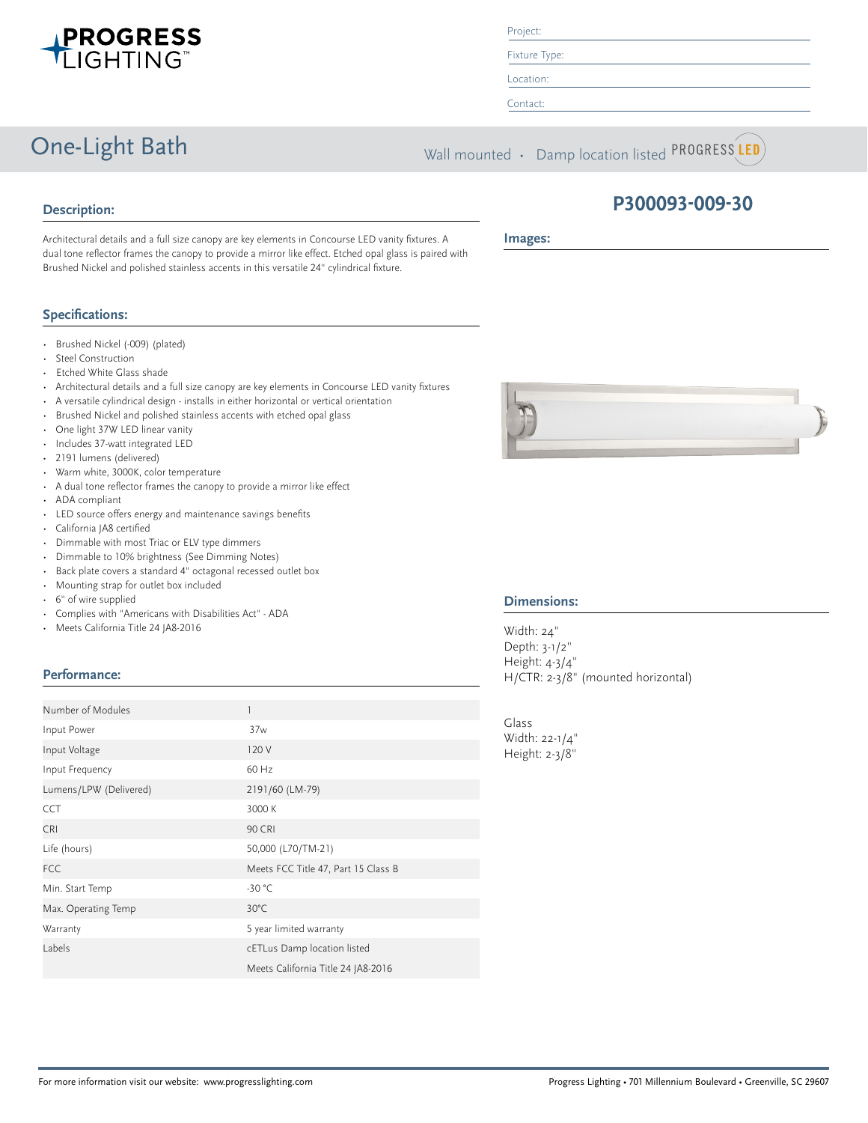

Project:

Fixture Type: Location:

Contact:

One-Light Bath Wall mounted • Damp location listed PROGRESS LED

## **Description:**

Architectural details and a full size canopy are key elements in Concourse LED vanity fixtures. A dual tone reflector frames the canopy to provide a mirror like effect. Etched opal glass is paired with Brushed Nickel and polished stainless accents in this versatile 24" cylindrical fixture.

### **Specifications:**

- Brushed Nickel (-009) (plated)
- Steel Construction
- Etched White Glass shade
- Architectural details and a full size canopy are key elements in Concourse LED vanity fixtures
- A versatile cylindrical design installs in either horizontal or vertical orientation
- Brushed Nickel and polished stainless accents with etched opal glass
- One light 37W LED linear vanity
- Includes 37-watt integrated LED
- 2191 lumens (delivered)
- Warm white, 3000K, color temperature
- A dual tone reflector frames the canopy to provide a mirror like effect
- ADA compliant
- LED source offers energy and maintenance savings benefits
- California JA8 certified
- Dimmable with most Triac or ELV type dimmers
- Dimmable to 10% brightness (See Dimming Notes)
- Back plate covers a standard 4" octagonal recessed outlet box
- Mounting strap for outlet box included
- 6" of wire supplied
- Complies with "Americans with Disabilities Act" ADA
- Meets California Title 24 JA8-2016

### **Performance:**

| Number of Modules      |                                     |
|------------------------|-------------------------------------|
| Input Power            | 37w                                 |
| Input Voltage          | 120 V                               |
| Input Frequency        | 60 Hz                               |
| Lumens/LPW (Delivered) | 2191/60 (LM-79)                     |
| <b>CCT</b>             | 3000 K                              |
| <b>CRI</b>             | <b>90 CRI</b>                       |
| Life (hours)           | 50,000 (L70/TM-21)                  |
| <b>FCC</b>             | Meets FCC Title 47, Part 15 Class B |
| Min. Start Temp        | $-30 °C$                            |
| Max. Operating Temp    | $30^{\circ}$ C                      |
| Warranty               | 5 year limited warranty             |
| Labels                 | cETLus Damp location listed         |
|                        | Meets California Title 24 JA8-2016  |



#### **Images:**



#### **Dimensions:**

Width: 24" Depth: 3-1/2" Height: 4-3/4" H/CTR: 2-3/8" (mounted horizontal)

Glass Width: 22-1/4" Height: 2-3/8"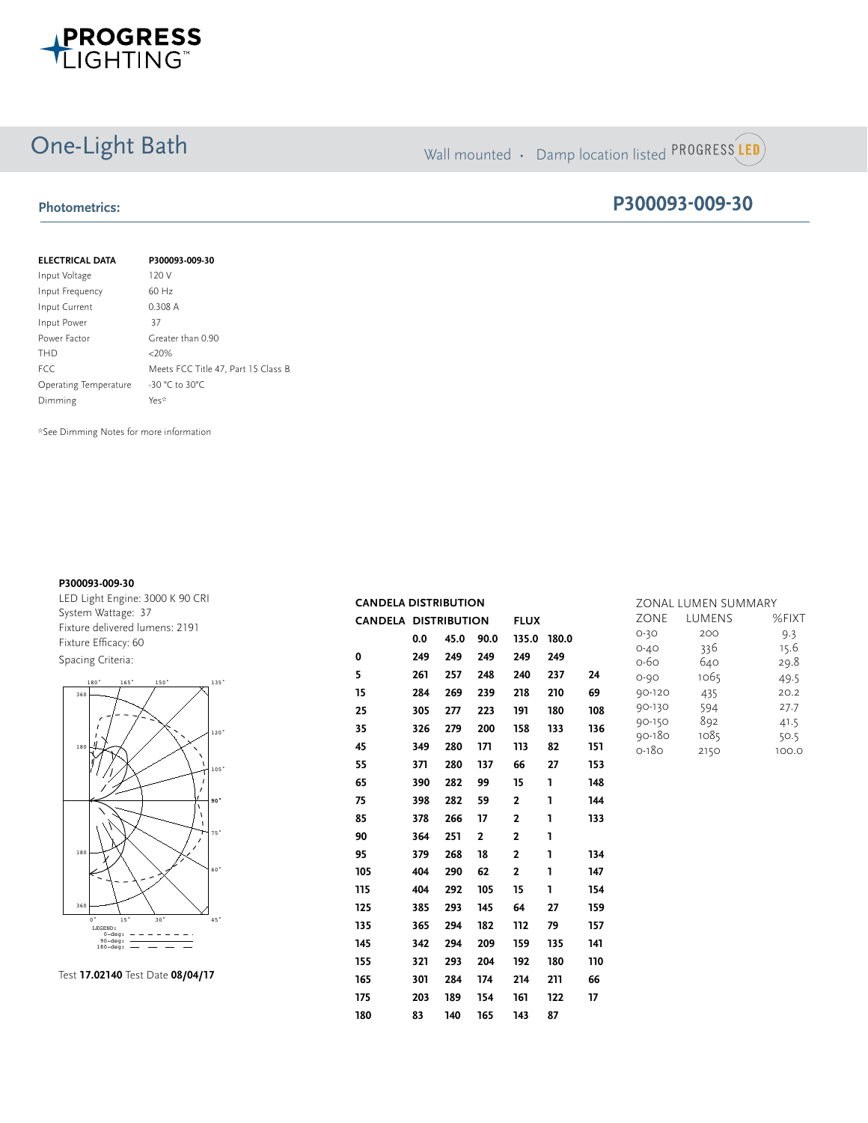

# One-Light Bath Wall mounted • Damp location listed PROGRESS LED

## **Photometrics:**

## **P300093-009-30**

| <b>ELECTRICAL DATA</b> | P300093-009-30                      |
|------------------------|-------------------------------------|
| Input Voltage          | 120 V                               |
| Input Frequency        | $60$ Hz                             |
| Input Current          | 0.308 A                             |
| Input Power            | 37                                  |
| Power Factor           | Greater than 0.90                   |
| <b>THD</b>             | $<20\%$                             |
| <b>FCC</b>             | Meets FCC Title 47, Part 15 Class B |
| Operating Temperature  | $-30 °C$ to 30°C                    |
| Dimming                | Yes*                                |

\*See Dimming Notes for more information

#### **P300093-009-30**

**REPORT NUMBER:** 17.03021 **PAGE:** 4 OF 9 LED Light Engine: 3000 K 90 CRI System Wattage: 37 Fixture delivered lumens: 2191 Fixture Efficacy: 60 Spacing Criteria:





|                | <b>CANDELA DISTRIBUTION</b> |     |      |              |              | ZONAL LUMEN SUMMARY |     |                         |              |               |
|----------------|-----------------------------|-----|------|--------------|--------------|---------------------|-----|-------------------------|--------------|---------------|
|                | <b>CANDELA DISTRIBUTION</b> |     |      |              | <b>FLUX</b>  |                     |     | ZONE                    | LUMENS       | %FIXT         |
|                |                             | 0.0 | 45.0 | 90.0         | 135.0 180.0  |                     |     | $O-3O$                  | 200          | 9.3           |
|                | $\mathbf 0$                 | 249 | 249  | 249          | 249          | 249                 |     | $O - 4O$<br>$O-6O$      | 336<br>640   | 15.6<br>29.8  |
|                | 5                           | 261 | 257  | 248          | 240          | 237                 | 24  | $O - 9O$                | 1065         | 49.5          |
|                | 15                          | 284 | 269  | 239          | 218          | 210                 | 69  | 90-120                  | 435          | 20.2          |
|                | 25                          | 305 | 277  | 223          | 191          | 180                 | 108 | 90-130                  | 594          | 27.7          |
| 'n,            | 35                          | 326 | 279  | 200          | 158          | 133                 | 136 | 90-150                  | 892          | 41.5          |
|                | 45                          | 349 | 280  | 171          | 113          | 82                  | 151 | $90 - 180$<br>$0 - 180$ | 1085<br>2150 | 50.5<br>100.0 |
| $\mathbf{S}^*$ | 55                          | 371 | 280  | 137          | 66           | 27                  | 153 |                         |              |               |
|                | 65                          | 390 | 282  | 99           | 15           | L                   | 148 |                         |              |               |
|                | 75                          | 398 | 282  | 59           | $\mathbf{2}$ | I.                  | 144 |                         |              |               |
|                | 85                          | 378 | 266  | 17           | $\mathbf{2}$ | ı                   | 133 |                         |              |               |
|                | 90                          | 364 | 251  | $\mathbf{2}$ | $\mathbf{2}$ | L                   |     |                         |              |               |
|                | 95                          | 379 | 268  | 18           | $\mathbf{2}$ | ı                   | 134 |                         |              |               |
|                | 105                         | 404 | 290  | 62           | $\mathbf{2}$ | ı                   | 147 |                         |              |               |
|                | 115                         | 404 | 292  | 105          | 15           | L                   | 154 |                         |              |               |
|                | 125                         | 385 | 293  | 145          | 64           | 27                  | 159 |                         |              |               |
|                | 135                         | 365 | 294  | 182          | 112          | 79                  | 157 |                         |              |               |
|                | 145                         | 342 | 294  | 209          | 159          | 135                 | 141 |                         |              |               |
|                | 155                         | 321 | 293  | 204          | 192          | 180                 | 110 |                         |              |               |
|                | 165                         | 301 | 284  | 174          | 214          | 211                 | 66  |                         |              |               |
|                | 175                         | 203 | 189  | 154          | 161          | 122                 | 17  |                         |              |               |
|                | 180                         | 83  | 140  | 165          | 143          | 87                  |     |                         |              |               |
|                |                             |     |      |              |              |                     |     |                         |              |               |